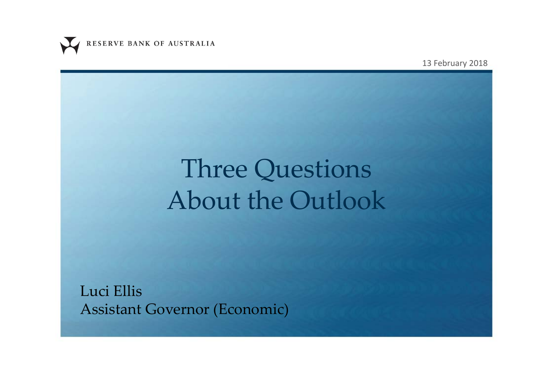

13 February 2018

# Three Questions About the Outlook

Luci Ellis Assistant Governor (Economic)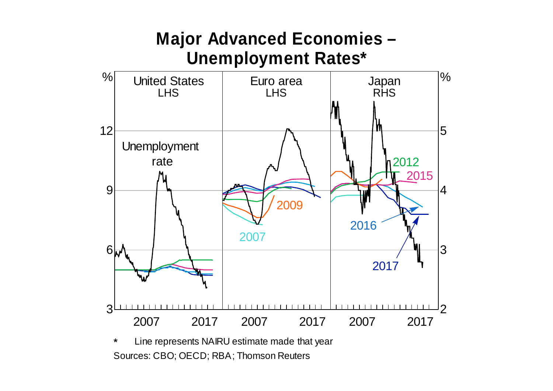### **Major Advanced Economies – Unemployment Rates\***



Sources: CBO; OECD; RBA; Thomson Reuters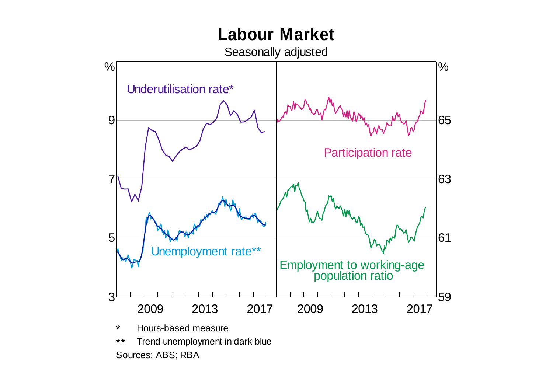## **Labour Market**



Sources: ABS; RBA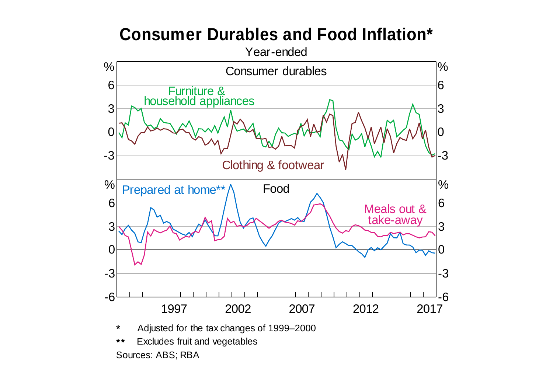#### **Consumer Durables and Food Inflation\***

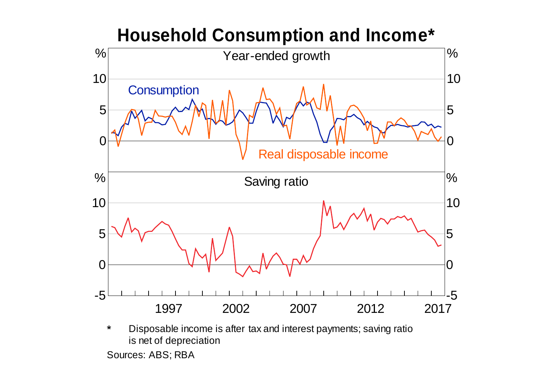![](_page_4_Figure_0.jpeg)

Sources: ABS; RBA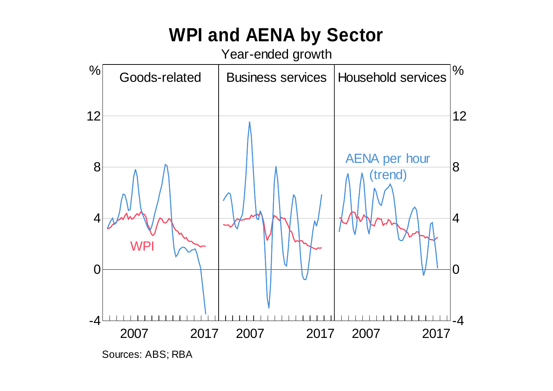# **WPI and AENA by Sector**

Year-ended growth

![](_page_5_Figure_2.jpeg)